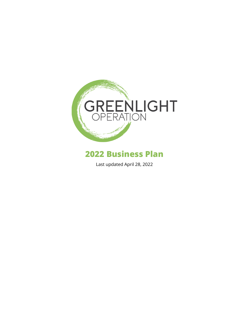

# **2022 Business Plan**

Last updated April 28, 2022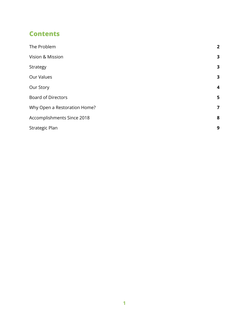### **Contents**

| The Problem                  | $\overline{2}$   |
|------------------------------|------------------|
| Vision & Mission             | 3                |
| Strategy                     | 3                |
| Our Values                   | 3                |
| Our Story                    | $\boldsymbol{4}$ |
| <b>Board of Directors</b>    | 5                |
| Why Open a Restoration Home? | 7                |
| Accomplishments Since 2018   | 8                |
| Strategic Plan               | 9                |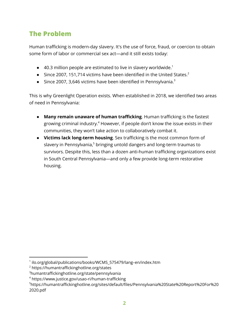# <span id="page-2-0"></span>**The Problem**

Human trafficking is modern-day slavery. It's the use of force, fraud, or coercion to obtain some form of labor or commercial sex act—and it still exists today:

- $\bullet$  40.3 million people are estimated to live in slavery worldwide.<sup>1</sup>
- Since 2007, 151,714 victims have been identified in the United States. $^2$
- Since 2007, 3,646 victims have been identified in Pennsylvania.<sup>3</sup>

This is why Greenlight Operation exists. When established in 2018, we identified two areas of need in Pennsylvania:

- **Many remain unaware of human trafficking**. Human trafficking is the fastest growing criminal industry. <sup>4</sup> However, if people don't know the issue exists in their communities, they won't take action to collaboratively combat it.
- **Victims lack long-term housing**. Sex trafficking is the most common form of slavery in Pennsylvania,<sup>5</sup> bringing untold dangers and long-term traumas to survivors. Despite this, less than a dozen anti-human trafficking organizations exist in South Central Pennsylvania—and only a few provide long-term restorative housing.

<sup>1</sup> ilo.org/global/publications/books/WCMS\_575479/lang–en/index.htm

<sup>2</sup> https://humantraffickinghotline.org/states

<sup>3</sup>humantraffickinghotline.org/state/pennsylvania

<sup>4</sup> https://www.justice.gov/usao-ri/human-trafficking

<sup>5</sup>https://humantraffickinghotline.org/sites/default/files/Pennsylvania%20State%20Report%20For%20 2020.pdf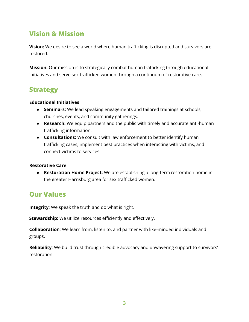### <span id="page-3-0"></span>**Vision & Mission**

**Vision:** We desire to see a world where human trafficking is disrupted and survivors are restored.

**Mission:** Our mission is to strategically combat human trafficking through educational initiatives and serve sex trafficked women through a continuum of restorative care.

### <span id="page-3-1"></span>**Strategy**

#### **Educational Initiatives**

- **● Seminars:** We lead speaking engagements and tailored trainings at schools, churches, events, and community gatherings.
- **● Research:** We equip partners and the public with timely and accurate anti-human trafficking information.
- **Consultations:** We consult with law enforcement to better identify human trafficking cases, implement best practices when interacting with victims, and connect victims to services.

#### **Restorative Care**

**● Restoration Home Project:** We are establishing a long-term restoration home in the greater Harrisburg area for sex trafficked women.

### <span id="page-3-2"></span>**Our Values**

**Integrity**: We speak the truth and do what is right.

**Stewardship**: We utilize resources efficiently and effectively.

**Collaboration**: We learn from, listen to, and partner with like-minded individuals and groups.

**Reliability**: We build trust through credible advocacy and unwavering support to survivors' restoration.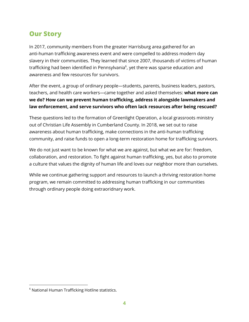### <span id="page-4-0"></span>**Our Story**

In 2017, community members from the greater Harrisburg area gathered for an anti-human trafficking awareness event and were compelled to address modern day slavery in their communities. They learned that since 2007, thousands of victims of human trafficking had been identified in Pennsylvania $^{\circ}$ , yet there was sparse education and awareness and few resources for survivors.

After the event, a group of ordinary people—students, parents, business leaders, pastors, teachers, and health care workers—came together and asked themselves: **what more can we do? How can we prevent human trafficking, address it alongside lawmakers and law enforcement, and serve survivors who often lack resources after being rescued?**

These questions led to the formation of Greenlight Operation, a local grassroots ministry out of Christian Life Assembly in Cumberland County. In 2018, we set out to raise awareness about human trafficking, make connections in the anti-human trafficking community, and raise funds to open a long-term restoration home for trafficking survivors.

We do not just want to be known for what we are against, but what we are for: freedom, collaboration, and restoration. To fight against human trafficking, yes, but also to promote a culture that values the dignity of human life and loves our neighbor more than ourselves.

While we continue gathering support and resources to launch a thriving restoration home program, we remain committed to addressing human trafficking in our communities through ordinary people doing extraoridnary work.

<sup>&</sup>lt;sup>6</sup> National Human Trafficking Hotline statistics.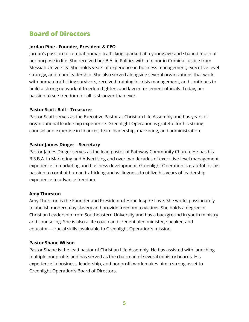## <span id="page-5-0"></span>**Board of Directors**

#### **Jordan Pine - Founder, President & CEO**

Jordan's passion to combat human trafficking sparked at a young age and shaped much of her purpose in life. She received her B.A. in Politics with a minor in Criminal Justice from Messiah University. She holds years of experience in business management, executive-level strategy, and team leadership. She also served alongside several organizations that work with human trafficking survivors, received training in crisis management, and continues to build a strong network of freedom fighters and law enforcement officials. Today, her passion to see freedom for all is stronger than ever.

#### **Pastor Scott Ball – Treasurer**

Pastor Scott serves as the Executive Pastor at Christian Life Assembly and has years of organizational leadership experience. Greenlight Operation is grateful for his strong counsel and expertise in finances, team leadership, marketing, and administration.

#### **Pastor James Dinger – Secretary**

Pastor James Dinger serves as the lead pastor of Pathway Community Church. He has his B.S.B.A. in Marketing and Advertising and over two decades of executive-level management experience in marketing and business development. Greenlight Operation is grateful for his passion to combat human trafficking and willingness to utilize his years of leadership experience to advance freedom.

#### **Amy Thurston**

Amy Thurston is the Founder and President of Hope Inspire Love. She works passionately to abolish modern-day slavery and provide freedom to victims. She holds a degree in Christian Leadership from Southeastern University and has a background in youth ministry and counseling. She is also a life coach and credentialed minister, speaker, and educator—crucial skills invaluable to Greenlight Operation's mission.

#### **Pastor Shane Wilson**

Pastor Shane is the lead pastor of Christian Life Assembly. He has assisted with launching multiple nonprofits and has served as the chairman of several ministry boards. His experience in business, leadership, and nonprofit work makes him a strong asset to Greenlight Operation's Board of Directors.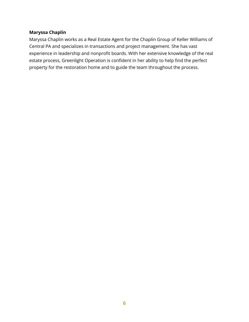#### **Maryssa Chaplin**

Maryssa Chaplin works as a Real Estate Agent for the Chaplin Group of Keller Williams of Central PA and specializes in transactions and project management. She has vast experience in leadership and nonprofit boards. With her extensive knowledge of the real estate process, Greenlight Operation is confident in her ability to help find the perfect property for the restoration home and to guide the team throughout the process.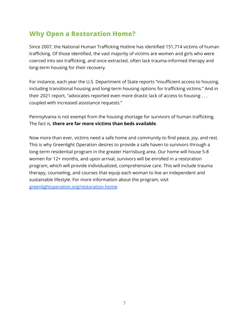### <span id="page-7-0"></span>**Why Open a Restoration Home?**

Since 2007, the National Human Trafficking Hotline has identified 151,714 victims of human trafficking. Of those identified, the vast majority of victims are women and girls who were coerced into sex trafficking, and once extracted, often lack trauma-informed therapy and long-term housing for their recovery.

For instance, each year the U.S. Department of State reports "insufficient access to housing, including transitional housing and long-term housing options for trafficking victims." And in their 2021 report, "advocates reported even more drastic lack of access to housing . . . coupled with increased assistance requests."

Pennsylvania is not exempt from the housing shortage for survivors of human trafficking. The fact is, **there are far more victims than beds available**.

Now more than ever, victims need a safe home and community to find peace, joy, and rest. This is why Greenlight Operation desires to provide a safe haven to survivors through a long-term residential program in the greater Harrisburg area. Our home will house 5-8 women for 12+ months, and upon arrival, survivors will be enrolled in a restoration program, which will provide individualized, comprehensive care. This will include trauma therapy, counseling, and courses that equip each woman to live an independent and sustainable lifestyle. For more information about the program, visit [greenlightoperation.org/restoration-home](http://greenlightoperaiton.org/restoration-home).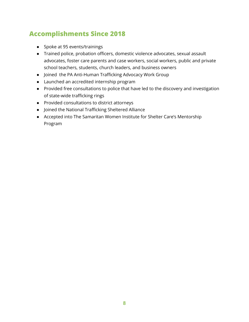## <span id="page-8-0"></span>**Accomplishments Since 2018**

- Spoke at 95 events/trainings
- Trained police, probation officers, domestic violence advocates, sexual assault advocates, foster care parents and case workers, social workers, public and private school teachers, students, church leaders, and business owners
- Joined the PA Anti-Human Trafficking Advocacy Work Group
- Launched an accredited internship program
- Provided free consultations to police that have led to the discovery and investigation of state-wide trafficking rings
- Provided consultations to district attorneys
- Joined the National Trafficking Sheltered Alliance
- Accepted into The Samaritan Women Institute for Shelter Care's Mentorship Program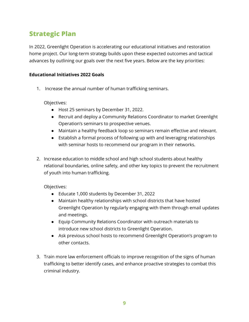### <span id="page-9-0"></span>**Strategic Plan**

In 2022, Greenlight Operation is accelerating our educational initiatives and restoration home project. Our long-term strategy builds upon these expected outcomes and tactical advances by outlining our goals over the next five years. Below are the key priorities:

#### **Educational Initiatives 2022 Goals**

1. Increase the annual number of human trafficking seminars.

Objectives:

- Host 25 seminars by December 31, 2022.
- Recruit and deploy a Community Relations Coordinator to market Greenlight Operation's seminars to prospective venues.
- Maintain a healthy feedback loop so seminars remain effective and relevant.
- Establish a formal process of following up with and leveraging relationships with seminar hosts to recommend our program in their networks.
- 2. Increase education to middle school and high school students about healthy relational boundaries, online safety, and other key topics to prevent the recruitment of youth into human trafficking.

- Educate 1,000 students by December 31, 2022
- Maintain healthy relationships with school districts that have hosted Greenlight Operation by regularly engaging with them through email updates and meetings.
- Equip Community Relations Coordinator with outreach materials to introduce new school districts to Greenlight Operation.
- Ask previous school hosts to recommend Greenlight Operation's program to other contacts.
- 3. Train more law enforcement officials to improve recognition of the signs of human trafficking to better identify cases, and enhance proactive strategies to combat this criminal industry.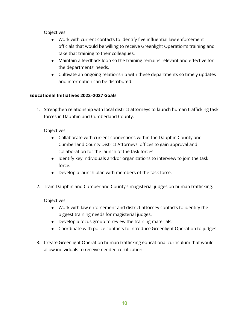- Work with current contacts to identify five influential law enforcement officials that would be willing to receive Greenlight Operation's training and take that training to their colleagues.
- Maintain a feedback loop so the training remains relevant and effective for the departments' needs.
- Cultivate an ongoing relationship with these departments so timely updates and information can be distributed.

#### **Educational Initiatives 2022–2027 Goals**

1. Strengthen relationship with local district attorneys to launch human trafficking task forces in Dauphin and Cumberland County.

#### Objectives:

- Collaborate with current connections within the Dauphin County and Cumberland County District Attorneys' offices to gain approval and collaboration for the launch of the task forces.
- Identify key individuals and/or organizations to interview to join the task force.
- Develop a launch plan with members of the task force.
- 2. Train Dauphin and Cumberland County's magisterial judges on human trafficking.

- Work with law enforcement and district attorney contacts to identify the biggest training needs for magisterial judges.
- Develop a focus group to review the training materials.
- Coordinate with police contacts to introduce Greenlight Operation to judges.
- 3. Create Greenlight Operation human trafficking educational curriculum that would allow individuals to receive needed certification.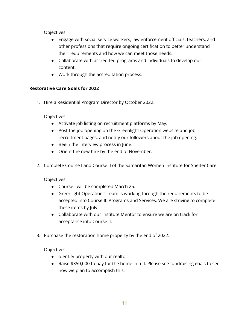- Engage with social service workers, law enforcement officials, teachers, and other professions that require ongoing certification to better understand their requirements and how we can meet those needs.
- Collaborate with accredited programs and individuals to develop our content.
- Work through the accreditation process.

#### **Restorative Care Goals for 2022**

1. Hire a Residential Program Director by October 2022.

Objectives:

- Activate job listing on recruitment platforms by May.
- Post the job opening on the Greenlight Operation website and job recruitment pages, and notify our followers about the job opening.
- Begin the interview process in June.
- Orient the new hire by the end of November.
- 2. Complete Course I and Course II of the Samaritan Women Institute for Shelter Care.

Objectives:

- Course I will be completed March 25.
- Greenlight Operation's Team is working through the requirements to be accepted into Course II: Programs and Services. We are striving to complete these items by July.
- Collaborate with our Institute Mentor to ensure we are on track for acceptance into Course II.
- 3. Purchase the restoration home property by the end of 2022.

- Identify property with our realtor.
- Raise \$350,000 to pay for the home in full. Please see fundraising goals to see how we plan to accomplish this.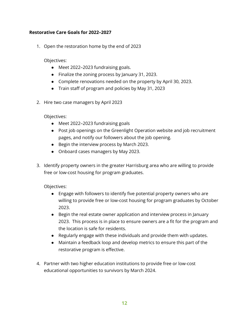#### **Restorative Care Goals for 2022–2027**

1. Open the restoration home by the end of 2023

Objectives:

- Meet 2022–2023 fundraising goals.
- Finalize the zoning process by January 31, 2023.
- Complete renovations needed on the property by April 30, 2023.
- Train staff of program and policies by May 31, 2023
- 2. Hire two case managers by April 2023

Objectives:

- Meet 2022–2023 fundraising goals
- Post job openings on the Greenlight Operation website and job recruitment pages, and notify our followers about the job opening.
- Begin the interview process by March 2023.
- Onboard cases managers by May 2023.
- 3. Identify property owners in the greater Harrisburg area who are willing to provide free or low-cost housing for program graduates.

- Engage with followers to identify five potential property owners who are willing to provide free or low-cost housing for program graduates by October 2023.
- Begin the real estate owner application and interview process in January 2023. This process is in place to ensure owners are a fit for the program and the location is safe for residents.
- Regularly engage with these individuals and provide them with updates.
- Maintain a feedback loop and develop metrics to ensure this part of the restorative program is effective.
- 4. Partner with two higher education institutions to provide free or low-cost educational opportunities to survivors by March 2024.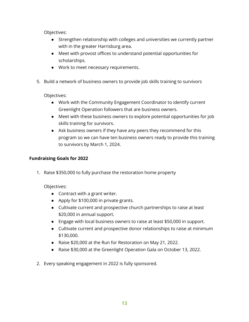- Strengthen relationship with colleges and universities we currently partner with in the greater Harrisburg area.
- Meet with provost offices to understand potential opportunities for scholarships.
- Work to meet necessary requirements.
- 5. Build a network of business owners to provide job skills training to survivors

Objectives:

- Work with the Community Engagement Coordinator to identify current Greenlight Operation followers that are business owners.
- Meet with these business owners to explore potential opportunities for job skills training for survivors.
- Ask business owners if they have any peers they recommend for this program so we can have ten business owners ready to provide this training to survivors by March 1, 2024.

#### **Fundraising Goals for 2022**

1. Raise \$350,000 to fully purchase the restoration home property

- Contract with a grant writer.
- Apply for \$100,000 in private grants.
- Cultivate current and prospective church partnerships to raise at least \$20,000 in annual support.
- Engage with local business owners to raise at least \$50,000 in support.
- Cultivate current and prospective donor relationships to raise at minimum \$130,000.
- Raise \$20,000 at the Run for Restoration on May 21, 2022.
- Raise \$30,000 at the Greenlight Operation Gala on October 13, 2022.
- 2. Every speaking engagement in 2022 is fully sponsored.